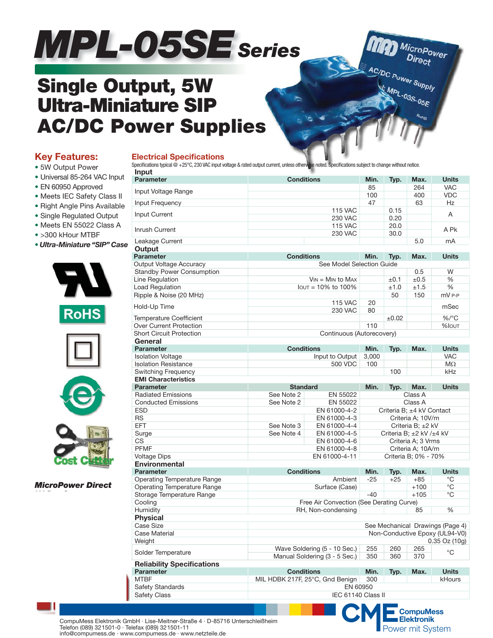# MPL-05SE series

## **Single Output, 5W Ultra-Miniature SIP AC/DC Power Supplies**

#### **Key Features:**

- **•** 5W Output Power
- **•** Universal 85-264 VAC Input
- **•** EN 60950 Approved
- **•** Meets IEC Safety Class II
- **•** Right Angle Pins Available
- **•** Single Regulated Output
- **•** Meets EN 55022 Class A
- **•** >300 kHour MTBF
- **•** *Ultra-Miniature "SIP" Case*



```
RoHS
```






*MicroPower Direct*

| Specifications typical @ +25°C, 230 VAC input voltage & rated output current, unless otherwise noted. Specifications subject to change without notice.       |                   |                                          |                          |            |                           |                                                                                         |  |  |  |  |
|--------------------------------------------------------------------------------------------------------------------------------------------------------------|-------------------|------------------------------------------|--------------------------|------------|---------------------------|-----------------------------------------------------------------------------------------|--|--|--|--|
| Input                                                                                                                                                        |                   |                                          |                          |            |                           |                                                                                         |  |  |  |  |
| <b>Parameter</b>                                                                                                                                             | <b>Conditions</b> |                                          | Min.                     | Typ.       | Max.                      | <b>Units</b>                                                                            |  |  |  |  |
|                                                                                                                                                              |                   |                                          | 85                       |            | 264                       | <b>VAC</b>                                                                              |  |  |  |  |
| Input Voltage Range                                                                                                                                          |                   |                                          | 100                      |            | 400                       | <b>VDC</b>                                                                              |  |  |  |  |
| Input Frequency                                                                                                                                              |                   |                                          | 47                       |            | 63                        | Hz                                                                                      |  |  |  |  |
| Input Current                                                                                                                                                |                   | <b>115 VAC</b>                           |                          | 0.15       |                           | A                                                                                       |  |  |  |  |
|                                                                                                                                                              |                   | <b>230 VAC</b>                           |                          | 0.20       |                           |                                                                                         |  |  |  |  |
| Inrush Current                                                                                                                                               |                   | <b>115 VAC</b>                           |                          | 20.0       |                           | A Pk                                                                                    |  |  |  |  |
|                                                                                                                                                              |                   | <b>230 VAC</b>                           |                          |            |                           |                                                                                         |  |  |  |  |
| Leakage Current                                                                                                                                              |                   |                                          |                          |            | 5.0                       | mA                                                                                      |  |  |  |  |
| Output                                                                                                                                                       |                   |                                          | Min.                     | Typ.       | Max.                      |                                                                                         |  |  |  |  |
| <b>Parameter</b>                                                                                                                                             |                   | <b>Conditions</b>                        |                          |            |                           | <b>Units</b>                                                                            |  |  |  |  |
| Output Voltage Accuracy                                                                                                                                      |                   | See Model Selection Guide                |                          |            |                           |                                                                                         |  |  |  |  |
| <b>Standby Power Consumption</b>                                                                                                                             |                   |                                          |                          |            | 0.5                       | W                                                                                       |  |  |  |  |
| Line Regulation                                                                                                                                              |                   | $V_{IN} = M_{IN}$ to Max                 |                          | $\pm 0.1$  | $\pm 0.5$                 | %                                                                                       |  |  |  |  |
| <b>Load Regulation</b>                                                                                                                                       |                   | $I$ out = 10% to 100%                    |                          | ±1.0       | ±1.5                      | %                                                                                       |  |  |  |  |
| Ripple & Noise (20 MHz)                                                                                                                                      |                   |                                          |                          | 50         | 150                       | mV P-P                                                                                  |  |  |  |  |
| Hold-Up Time                                                                                                                                                 |                   | <b>115 VAC</b>                           | 20                       |            |                           | mSec                                                                                    |  |  |  |  |
|                                                                                                                                                              |                   | 230 VAC                                  | 80                       |            |                           |                                                                                         |  |  |  |  |
| <b>Temperature Coefficient</b>                                                                                                                               |                   |                                          |                          | $\pm 0.02$ |                           | $\%$ /°C                                                                                |  |  |  |  |
| Over Current Protection                                                                                                                                      |                   |                                          | 110                      |            |                           | %Iout                                                                                   |  |  |  |  |
| <b>Short Circuit Protection</b>                                                                                                                              |                   | Continuous (Autorecovery)                |                          |            |                           |                                                                                         |  |  |  |  |
| General                                                                                                                                                      |                   |                                          |                          |            |                           |                                                                                         |  |  |  |  |
| <b>Parameter</b>                                                                                                                                             | <b>Conditions</b> |                                          | Min.                     | Typ.       | Max.                      | <b>Units</b>                                                                            |  |  |  |  |
| <b>Isolation Voltage</b>                                                                                                                                     |                   | Input to Output                          | 3,000                    |            |                           | <b>VAC</b>                                                                              |  |  |  |  |
| <b>Isolation Resistance</b>                                                                                                                                  |                   | 500 VDC                                  | 100                      |            |                           | $M\Omega$                                                                               |  |  |  |  |
| Switching Frequency                                                                                                                                          |                   |                                          |                          | 100        |                           | kHz                                                                                     |  |  |  |  |
| <b>EMI Characteristics</b>                                                                                                                                   |                   |                                          |                          |            |                           |                                                                                         |  |  |  |  |
| <b>Parameter</b>                                                                                                                                             | <b>Standard</b>   |                                          | Min.                     |            | Max.                      | <b>Units</b>                                                                            |  |  |  |  |
|                                                                                                                                                              |                   |                                          |                          | Typ.       |                           |                                                                                         |  |  |  |  |
| <b>Radiated Emissions</b>                                                                                                                                    | See Note 2        | EN 55022                                 |                          |            | Class A                   |                                                                                         |  |  |  |  |
| <b>Conducted Emissions</b>                                                                                                                                   | See Note 2        | EN 55022<br>EN 61000-4-2                 |                          |            | Class A                   |                                                                                         |  |  |  |  |
| <b>ESD</b>                                                                                                                                                   |                   | Criteria B; ±4 kV Contact                |                          |            |                           |                                                                                         |  |  |  |  |
| <b>RS</b>                                                                                                                                                    |                   | EN 61000-4-3                             |                          |            | Criteria A; 10V/m         |                                                                                         |  |  |  |  |
| <b>EFT</b>                                                                                                                                                   |                   | See Note 3<br>EN 61000-4-4               |                          |            |                           | Criteria B; ±2 kV                                                                       |  |  |  |  |
| Surge                                                                                                                                                        | See Note 4        | EN 61000-4-5                             | Criteria B; ±2 kV /±4 kV |            |                           |                                                                                         |  |  |  |  |
| CS                                                                                                                                                           |                   | EN 61000-4-6                             |                          |            | Criteria A; 3 Vrms        |                                                                                         |  |  |  |  |
| <b>PFMF</b>                                                                                                                                                  |                   | EN 61000-4-8                             |                          |            | Criteria A; 10A/m         |                                                                                         |  |  |  |  |
| <b>Voltage Dips</b>                                                                                                                                          |                   | EN 61000-4-11                            | Criteria B; 0% - 70%     |            |                           |                                                                                         |  |  |  |  |
| <b>Environmental</b>                                                                                                                                         |                   |                                          |                          |            |                           |                                                                                         |  |  |  |  |
| <b>Parameter</b>                                                                                                                                             | <b>Conditions</b> |                                          | Min.                     | Typ.       | Max.                      | <b>Units</b>                                                                            |  |  |  |  |
| <b>Operating Temperature Range</b>                                                                                                                           |                   |                                          |                          | $+25$      | $+85$                     | °C                                                                                      |  |  |  |  |
|                                                                                                                                                              |                   | Ambient                                  |                          |            |                           |                                                                                         |  |  |  |  |
|                                                                                                                                                              |                   |                                          | $-25$                    |            | $+100$                    |                                                                                         |  |  |  |  |
|                                                                                                                                                              |                   | Surface (Case)                           |                          |            |                           | °C                                                                                      |  |  |  |  |
|                                                                                                                                                              |                   |                                          | $-40$                    |            | $+105$                    | $^{\circ}$ C                                                                            |  |  |  |  |
| Cooling                                                                                                                                                      |                   | Free Air Convection (See Derating Curve) |                          |            |                           |                                                                                         |  |  |  |  |
|                                                                                                                                                              |                   | RH, Non-condensing                       |                          |            | 85                        | %                                                                                       |  |  |  |  |
|                                                                                                                                                              |                   |                                          |                          |            |                           |                                                                                         |  |  |  |  |
|                                                                                                                                                              |                   |                                          |                          |            |                           |                                                                                         |  |  |  |  |
|                                                                                                                                                              |                   |                                          |                          |            |                           |                                                                                         |  |  |  |  |
|                                                                                                                                                              |                   |                                          |                          |            |                           |                                                                                         |  |  |  |  |
|                                                                                                                                                              |                   | Wave Soldering (5 - 10 Sec.)             | 255                      | 260        | 265                       | °C                                                                                      |  |  |  |  |
| Operating Temperature Range<br>Storage Temperature Range<br>Humidity<br><b>Physical</b><br><b>Case Size</b><br>Case Material<br>Weight<br>Solder Temperature |                   | Manual Soldering (3 - 5 Sec.)            | 350                      | 360        | 370                       | See Mechanical Drawings (Page 4)<br>Non-Conductive Epoxy (UL94-V0)<br>$0.35$ Oz $(10g)$ |  |  |  |  |
| <b>Reliability Specifications</b>                                                                                                                            |                   |                                          |                          |            |                           |                                                                                         |  |  |  |  |
|                                                                                                                                                              | <b>Conditions</b> |                                          | Min.                     | Typ.       | Max.                      | <b>Units</b>                                                                            |  |  |  |  |
|                                                                                                                                                              |                   | MIL HDBK 217F, 25°C, Gnd Benign          | 300                      |            |                           | kHours                                                                                  |  |  |  |  |
| <b>Parameter</b><br><b>MTRF</b><br><b>Safety Standards</b>                                                                                                   |                   | EN 60950                                 |                          |            |                           |                                                                                         |  |  |  |  |
| <b>Safety Class</b>                                                                                                                                          |                   | IEC 61140 Class II                       |                          |            |                           |                                                                                         |  |  |  |  |
|                                                                                                                                                              |                   |                                          |                          |            | $CME_{\text{Elektronik}}$ |                                                                                         |  |  |  |  |

MAD MicroPower

AC/DC Power Supply

MPL-03S-05E

CompuMess Elektronik GmbH · Lise-Meitner-Straße 4 · D-85716 Unterschleißheim **Elektronik Elektronik** Power mit System Elektronik<br>Telefon (089) 321501-0 · Telefax (089) 321501-11 Telefon (089) 321501-0 · Telefax (089) 321501-11 info@compumess.de · www.compumess.de · www.netzteile.de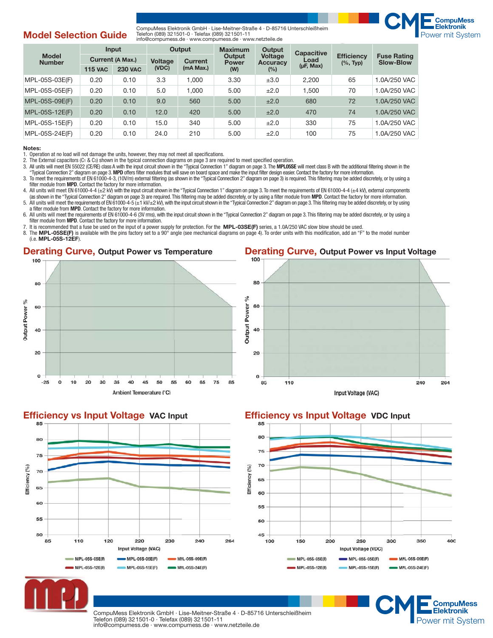#### **Model Selection Guide**

CompuMess Elektronik GmbH · Lise-Meitner-Straße 4 · D-85716 Unterschleißheim **Elektronik** Telefon (089) 321501-0 · Telefax (089) 321501-11 info@compumess.de · www.compumess.de · www.netzteile.de



**CompuMess** 

| <b>Model</b><br><b>Number</b> | Input            |                | Output                           |           | <b>Maximum</b>         | Output                            | <b>Capacitive</b><br>Load | <b>Efficiency</b><br>$(\%$ , Typ) | <b>Fuse Rating</b><br><b>Slow-Blow</b> |  |
|-------------------------------|------------------|----------------|----------------------------------|-----------|------------------------|-----------------------------------|---------------------------|-----------------------------------|----------------------------------------|--|
|                               | Current (A Max.) |                | <b>Voltage</b><br><b>Current</b> |           | Output<br><b>Power</b> | <b>Voltage</b><br><b>Accuracy</b> |                           |                                   |                                        |  |
|                               | <b>115 VAC</b>   | <b>230 VAC</b> | (VDC)                            | (mA Max.) | (W)                    | (%)                               | $(\mu$ F, Max $)$         |                                   |                                        |  |
| MPL-05S-03E(F)                | 0.20             | 0.10           | 3.3                              | 1.000     | 3.30                   | ±3.0                              | 2.200                     | 65                                | 1.0A/250 VAC                           |  |
| MPL-05S-05E(F)                | 0.20             | 0.10           | 5.0                              | 1.000     | 5.00                   | ±2.0                              | 1.500                     | 70                                | 1.0A/250 VAC                           |  |
| MPL-05S-09E(F)                | 0.20             | 0.10           | 9.0                              | 560       | 5.00                   | ±2.0                              | 680                       | 72                                | 1.0A/250 VAC                           |  |
| MPL-05S-12E(F)                | 0.20             | 0.10           | 12.0                             | 420       | 5.00                   | ±2.0                              | 470                       | 74                                | 1.0A/250 VAC                           |  |
| MPL-05S-15E(F)                | 0.20             | 0.10           | 15.0                             | 340       | 5.00                   | ±2.0                              | 330                       | 75                                | 1.0A/250 VAC                           |  |
| MPL-05S-24E(F)                | 0.20             | 0.10           | 24.0                             | 210       | 5.00                   | ±2.0                              | 100                       | 75                                | 1.0A/250 VAC                           |  |

#### **Notes:**

1. Operation at no load will not damage the units, however, they may not meet all specifications.

2. The External capacitors (C1 & C3) shown in the typical connection diagrams on page 3 are required to meet specified operation.<br>3. All units will meet EN 55022 (CE/RE) class A with the input circuit shown in the "Typical

3. All units will meet EN 55022 (CE/RE) class A with the input circuit shown in the "Typical Connection 1" diagram on page 3. The **MPL05SE** will meet class B with the additional fi ltering shown in the

"Typical Connection 2" diagram on page 3. **MPD** offers fi lter modules that will save on board space and make the input fi lter design easier. Contact the factory for more information.

3. To meet the requirements of EN 61000-4-3, (10V/m) external fi ltering (as shown in the "Typical Connection 2" diagram on page 3) is required. This fi ltering may be added discretely, or by using a filter module from **MPD**. Contact the factory for more information.

4. All units will meet EN 61000-4-4 (±2 kV) with the input circuit shown in the "Typical Connection 1" diagram on page 3. To meet the requirements of EN 61000-4-4 (±4 kV), external components as shown in the "Typical Connection 2" diagram on page 3) are required. This filtering may be added discretely, or by using a filter module from MPD. Contact the factory for more information.<br>5. All units will meet the req

a filter module from **MPD**. Contact the factory for more information.

6. All units will meet the requirements of EN 61000-4-6 (3V rms), with the input circuit shown in the "Typical Connection 2" diagram on page 3. This filtering may be added discretely, or by using a filter module from **MPD**. Contact the factory for more information.

7. It is recommended that a fuse be used on the input of a power supply for protection. For the **MPL-03SE(F)** series, a 1.0A/250 VAC slow blow should be used.<br>8. The MPL-05SE(F) is available with the pins factory set to a

The MPL-05SE(F) is available with the pins factory set to a 90° angle (see mechanical diagrams on page 4). To order units with this modification, add an "F" to the model number (i.e. **MPL-05S-12EF**).

#### **Derating Curve, Output Power vs Temperature**







CompuMess Elektronik GmbH · Lise-Meitner-Straße 4 · D-85716 Unterschleißheim **Elektronik Elektronik** Telefon (089) 321501-0 · Telefax (089) 321501-11 Telefon (089) 321501-0 · Telefax (089) 321501-11<br>info@compumess.de · www.compumess.de · www.netzteile.de Power mit System info@compumess.de · www.compumess.de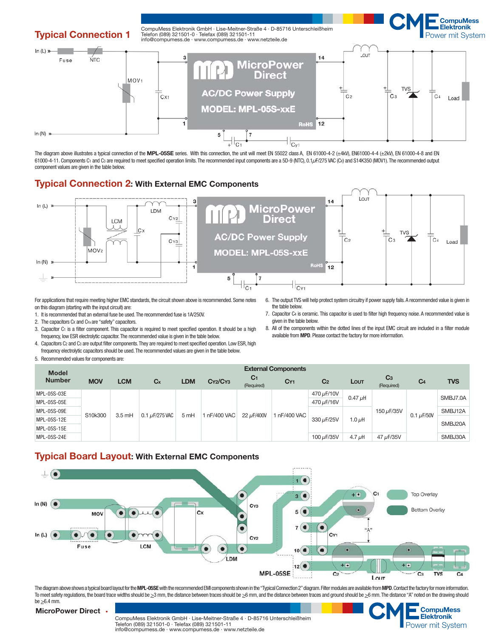

The diagram above illustrates a typical connection of the MPL-05SE series. With this connection, the unit will meet EN 55022 class A, EN 61000-4-2 (±4kV), EN61000-4-4 (±2kV), EN 61000-4-8 and EN 61000-4-11. Components C<sub>1</sub> and C<sub>3</sub> are required to meet specified operation limits. The recommended input components are a 5D-9 (NTC), 0.1<sub>/</sub>F/275 VAC (Cx) and S14K350 (MOV1). The recommended output component values are given in the table below.

#### **Typical Connection 2: With External EMC Components**



For applications that require meeting higher EMC standards, the circuit shown above is recommended. Some notes on this diagram (starting with the input circuit) are:

- 1. It is recommended that an external fuse be used. The recommended fuse is 1A/250V.
- 2. The capacitors Cx and Cyx are "safety" capacitors.
- 3. Capacitor C1 is a filter component. This capacitor is required to meet specified operation. It should be a high frequency, low ESR electrolytic capacitor. The recommended value is given in the table below.
- 5. Recommended values for components are: 4. Capacitors C<sub>2</sub> and C<sub>3</sub> are output filter components. They are required to meet specified operation. Low ESR, high frequency electrolytic capacitors should be used. The recommended values are given in the table below.
- 6. The output TVS will help protect system circuitry if power supply fails. A recommended value is given in the table below.
- 7. Capacitor C4 is ceramic. This capacitor is used to filter high frequency noise. A recommended value is given in the table below.
- 8. All of the components within the dotted lines of the input EMC circuit are included in a filter module available from **MPD**. Please contact the factory for more information.

|            | <b>External Components</b>  |                     |      |            |                              |                 |                |              |                              |                 |            |
|------------|-----------------------------|---------------------|------|------------|------------------------------|-----------------|----------------|--------------|------------------------------|-----------------|------------|
| <b>MOV</b> | <b>LCM</b>                  | $C_{X}$             | LDM  | CY2/CY3    | C <sub>1</sub><br>(Required) | CY <sub>1</sub> | C <sub>2</sub> | LOUT         | C <sub>3</sub><br>(Required) | C <sub>4</sub>  | <b>TVS</b> |
|            |                             | 0.1 $\mu$ F/275 VAC | 5 mH | nF/400 VAC | 22 µF/400V                   | InF/400 VAC     | 470 µF/10V     | $0.47 \mu$ H | 150 µF/35V                   | 0.1 $\mu$ F/50V | SMBJ7.0A   |
|            |                             |                     |      |            |                              |                 | 470 µF/16V     |              |                              |                 |            |
|            | S10k300<br>$3.5 \text{ mH}$ |                     |      |            |                              |                 | 330 µF/25V     | 1.0 $\mu$ H  |                              |                 | SMBJ12A    |
|            |                             |                     |      |            |                              |                 |                |              |                              |                 |            |
|            |                             |                     |      |            |                              |                 |                |              |                              |                 | SMBJ20A    |
|            |                             |                     |      |            |                              | 100 µF/35V      | 4.7 $\mu$ H    | 47 µF/35V    |                              | SMBJ30A         |            |
|            |                             |                     |      |            |                              |                 |                |              |                              |                 |            |

#### **Typical Board Layout: With External EMC Components**



The diagram above shows a typical board layout for the MPL-05SE with the recommended EMI components shown in the "Typical Connection 2" diagram. Filter modules are available from MPD. Contact the factory for more informati To meet safety regulations, the board trace widths should be  $\geq 3$  mm, the distance between traces should be  $\geq 6$  mm, and the distance between traces and ground should be  $\geq 6$  mm. The distance "A" noted on the draw be  $\geq 6.4$  mm.